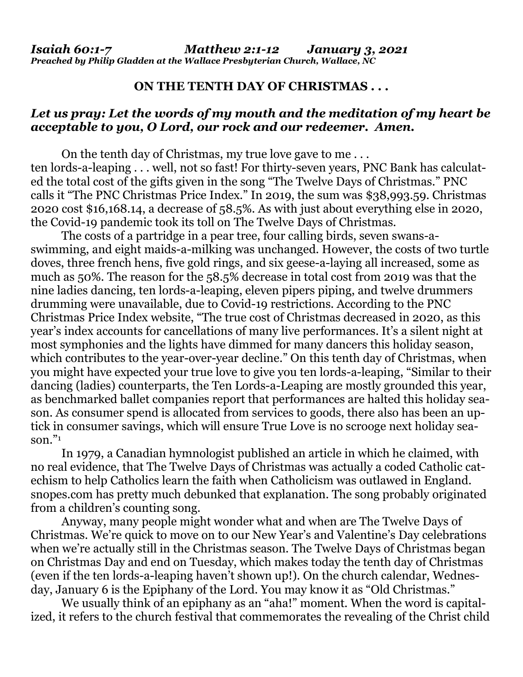## **ON THE TENTH DAY OF CHRISTMAS . . .**

## *Let us pray: Let the words of my mouth and the meditation of my heart be acceptable to you, O Lord, our rock and our redeemer. Amen.*

On the tenth day of Christmas, my true love gave to me . . . ten lords-a-leaping . . . well, not so fast! For thirty-seven years, PNC Bank has calculated the total cost of the gifts given in the song "The Twelve Days of Christmas." PNC calls it "The PNC Christmas Price Index." In 2019, the sum was \$38,993.59. Christmas 2020 cost \$16,168.14, a decrease of 58.5%. As with just about everything else in 2020, the Covid-19 pandemic took its toll on The Twelve Days of Christmas.

The costs of a partridge in a pear tree, four calling birds, seven swans-aswimming, and eight maids-a-milking was unchanged. However, the costs of two turtle doves, three french hens, five gold rings, and six geese-a-laying all increased, some as much as 50%. The reason for the 58.5% decrease in total cost from 2019 was that the nine ladies dancing, ten lords-a-leaping, eleven pipers piping, and twelve drummers drumming were unavailable, due to Covid-19 restrictions. According to the PNC Christmas Price Index website, "The true cost of Christmas decreased in 2020, as this year's index accounts for cancellations of many live performances. It's a silent night at most symphonies and the lights have dimmed for many dancers this holiday season, which contributes to the year-over-year decline." On this tenth day of Christmas, when you might have expected your true love to give you ten lords-a-leaping, "Similar to their dancing (ladies) counterparts, the Ten Lords-a-Leaping are mostly grounded this year, as benchmarked ballet companies report that performances are halted this holiday season. As consumer spend is allocated from services to goods, there also has been an uptick in consumer savings, which will ensure True Love is no scrooge next holiday season." $\frac{1}{2}$ 

In 1979, a Canadian hymnologist published an article in which he claimed, with no real evidence, that The Twelve Days of Christmas was actually a coded Catholic catechism to help Catholics learn the faith when Catholicism was outlawed in England. [snopes.com](http://snopes.com/) has pretty much debunked that explanation. The song probably originated from a children's counting song.

Anyway, many people might wonder what and when are The Twelve Days of Christmas. We're quick to move on to our New Year's and Valentine's Day celebrations when we're actually still in the Christmas season. The Twelve Days of Christmas began on Christmas Day and end on Tuesday, which makes today the tenth day of Christmas (even if the ten lords-a-leaping haven't shown up!). On the church calendar, Wednesday, January 6 is the Epiphany of the Lord. You may know it as "Old Christmas."

We usually think of an epiphany as an "aha!" moment. When the word is capitalized, it refers to the church festival that commemorates the revealing of the Christ child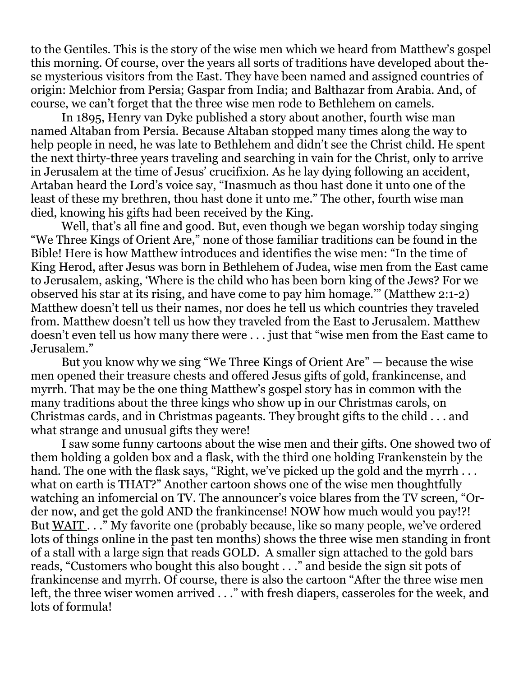to the Gentiles. This is the story of the wise men which we heard from Matthew's gospel this morning. Of course, over the years all sorts of traditions have developed about these mysterious visitors from the East. They have been named and assigned countries of origin: Melchior from Persia; Gaspar from India; and Balthazar from Arabia. And, of course, we can't forget that the three wise men rode to Bethlehem on camels.

In 1895, Henry van Dyke published a story about another, fourth wise man named Altaban from Persia. Because Altaban stopped many times along the way to help people in need, he was late to Bethlehem and didn't see the Christ child. He spent the next thirty-three years traveling and searching in vain for the Christ, only to arrive in Jerusalem at the time of Jesus' crucifixion. As he lay dying following an accident, Artaban heard the Lord's voice say, "Inasmuch as thou hast done it unto one of the least of these my brethren, thou hast done it unto me." The other, fourth wise man died, knowing his gifts had been received by the King.

Well, that's all fine and good. But, even though we began worship today singing "We Three Kings of Orient Are," none of those familiar traditions can be found in the Bible! Here is how Matthew introduces and identifies the wise men: "In the time of King Herod, after Jesus was born in Bethlehem of Judea, wise men from the East came to Jerusalem, asking, 'Where is the child who has been born king of the Jews? For we observed his star at its rising, and have come to pay him homage.'" (Matthew 2:1-2) Matthew doesn't tell us their names, nor does he tell us which countries they traveled from. Matthew doesn't tell us how they traveled from the East to Jerusalem. Matthew doesn't even tell us how many there were . . . just that "wise men from the East came to Jerusalem."

But you know why we sing "We Three Kings of Orient Are" — because the wise men opened their treasure chests and offered Jesus gifts of gold, frankincense, and myrrh. That may be the one thing Matthew's gospel story has in common with the many traditions about the three kings who show up in our Christmas carols, on Christmas cards, and in Christmas pageants. They brought gifts to the child . . . and what strange and unusual gifts they were!

I saw some funny cartoons about the wise men and their gifts. One showed two of them holding a golden box and a flask, with the third one holding Frankenstein by the hand. The one with the flask says, "Right, we've picked up the gold and the myrrh... what on earth is THAT?" Another cartoon shows one of the wise men thoughtfully watching an infomercial on TV. The announcer's voice blares from the TV screen, "Order now, and get the gold AND the frankincense! NOW how much would you pay!?! But WAIT . . ." My favorite one (probably because, like so many people, we've ordered lots of things online in the past ten months) shows the three wise men standing in front of a stall with a large sign that reads GOLD. A smaller sign attached to the gold bars reads, "Customers who bought this also bought . . ." and beside the sign sit pots of frankincense and myrrh. Of course, there is also the cartoon "After the three wise men left, the three wiser women arrived . . ." with fresh diapers, casseroles for the week, and lots of formula!